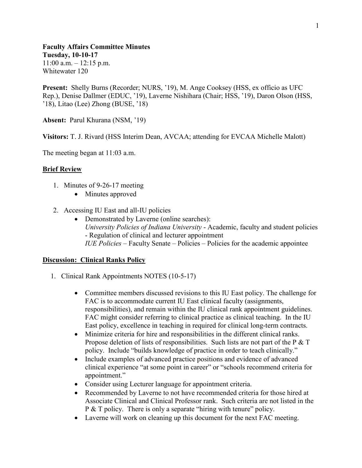**Faculty Affairs Committee Minutes Tuesday, 10-10-17**  $11:00$  a.m.  $-12:15$  p.m. Whitewater 120

**Present:** Shelly Burns (Recorder; NURS, '19), M. Ange Cooksey (HSS, ex officio as UFC Rep.), Denise Dallmer (EDUC, '19), Laverne Nishihara (Chair; HSS, '19), Daron Olson (HSS, '18), Litao (Lee) Zhong (BUSE, '18)

**Absent:** Parul Khurana (NSM, '19)

**Visitors:** T. J. Rivard (HSS Interim Dean, AVCAA; attending for EVCAA Michelle Malott)

The meeting began at 11:03 a.m.

## **Brief Review**

- 1. Minutes of 9-26-17 meeting
	- Minutes approved
- 2. Accessing IU East and all-IU policies
	- Demonstrated by Laverne (online searches): *University Policies of Indiana University* - Academic, faculty and student policies - Regulation of clinical and lecturer appointment *IUE Policies* – Faculty Senate – Policies – Policies for the academic appointee

## **Discussion: Clinical Ranks Policy**

- 1. Clinical Rank Appointments NOTES (10-5-17)
	- Committee members discussed revisions to this IU East policy. The challenge for FAC is to accommodate current IU East clinical faculty (assignments, responsibilities), and remain within the IU clinical rank appointment guidelines. FAC might consider referring to clinical practice as clinical teaching. In the IU East policy, excellence in teaching in required for clinical long-term contracts.
	- Minimize criteria for hire and responsibilities in the different clinical ranks. Propose deletion of lists of responsibilities. Such lists are not part of the P & T policy. Include "builds knowledge of practice in order to teach clinically."
	- Include examples of advanced practice positions and evidence of advanced clinical experience "at some point in career" or "schools recommend criteria for appointment."
	- Consider using Lecturer language for appointment criteria.
	- Recommended by Laverne to not have recommended criteria for those hired at Associate Clinical and Clinical Professor rank. Such criteria are not listed in the P & T policy. There is only a separate "hiring with tenure" policy.
	- Laverne will work on cleaning up this document for the next FAC meeting.